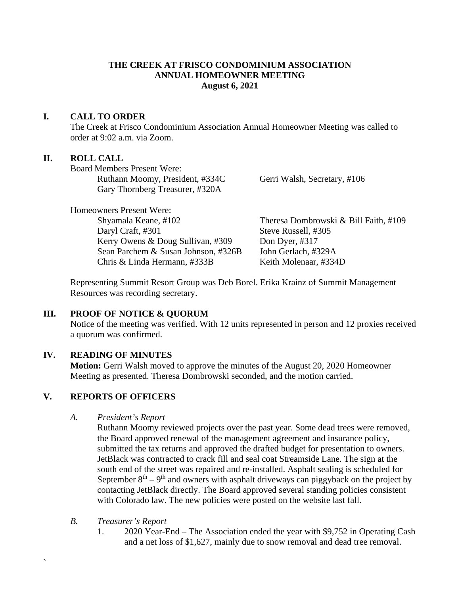### **THE CREEK AT FRISCO CONDOMINIUM ASSOCIATION ANNUAL HOMEOWNER MEETING August 6, 2021**

### **I. CALL TO ORDER**

The Creek at Frisco Condominium Association Annual Homeowner Meeting was called to order at 9:02 a.m. via Zoom.

#### **II. ROLL CALL**

Board Members Present Were: Ruthann Moomy, President, #334C Gerri Walsh, Secretary, #106 Gary Thornberg Treasurer, #320A

| <b>Homeowners Present Were:</b>     |                                       |
|-------------------------------------|---------------------------------------|
| Shyamala Keane, #102                | Theresa Dombrowski & Bill Faith, #109 |
| Daryl Craft, #301                   | Steve Russell, #305                   |
| Kerry Owens & Doug Sullivan, #309   | Don Dyer, $\#317$                     |
| Sean Parchem & Susan Johnson, #326B | John Gerlach, #329A                   |
| Chris & Linda Hermann, #333B        | Keith Molenaar, #334D                 |

Representing Summit Resort Group was Deb Borel. Erika Krainz of Summit Management Resources was recording secretary.

# **III. PROOF OF NOTICE & QUORUM**

Notice of the meeting was verified. With 12 units represented in person and 12 proxies received a quorum was confirmed.

# **IV. READING OF MINUTES**

**Motion:** Gerri Walsh moved to approve the minutes of the August 20, 2020 Homeowner Meeting as presented. Theresa Dombrowski seconded, and the motion carried.

# **V. REPORTS OF OFFICERS**

*A. President's Report* 

Ruthann Moomy reviewed projects over the past year. Some dead trees were removed, the Board approved renewal of the management agreement and insurance policy, submitted the tax returns and approved the drafted budget for presentation to owners. JetBlack was contracted to crack fill and seal coat Streamside Lane. The sign at the south end of the street was repaired and re-installed. Asphalt sealing is scheduled for September  $8<sup>th</sup> - 9<sup>th</sup>$  and owners with asphalt driveways can piggyback on the project by contacting JetBlack directly. The Board approved several standing policies consistent with Colorado law. The new policies were posted on the website last fall.

*B. Treasurer's Report*

`

1. 2020 Year-End – The Association ended the year with \$9,752 in Operating Cash and a net loss of \$1,627, mainly due to snow removal and dead tree removal.